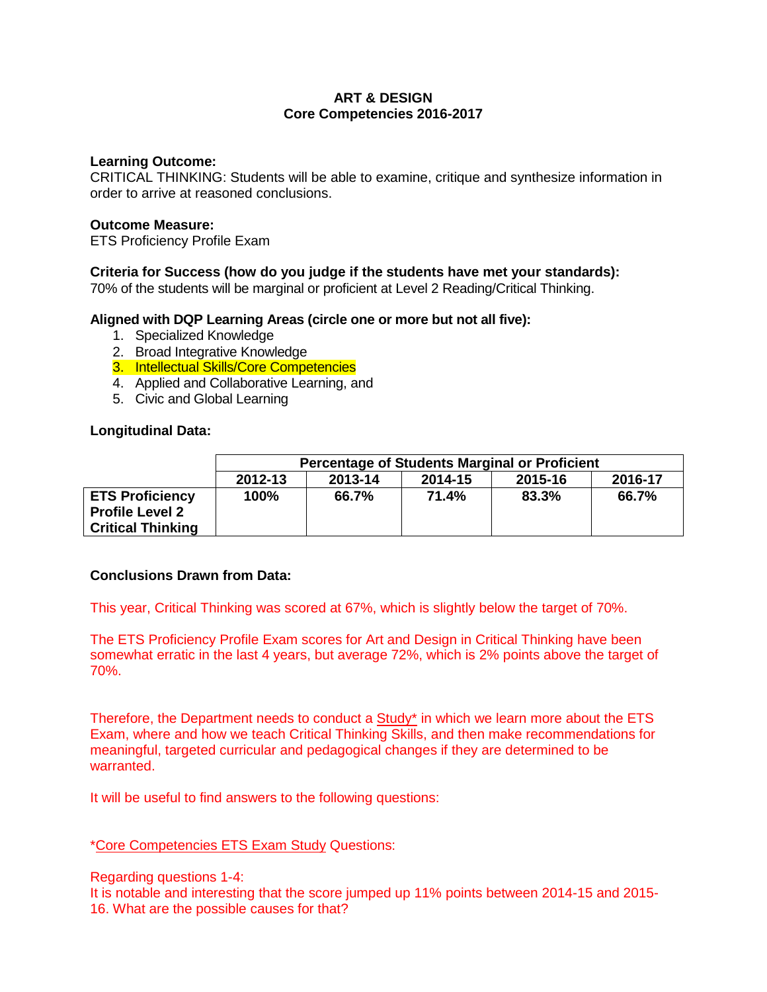# **ART & DESIGN Core Competencies 2016-2017**

### **Learning Outcome:**

CRITICAL THINKING: Students will be able to examine, critique and synthesize information in order to arrive at reasoned conclusions.

### **Outcome Measure:**

ETS Proficiency Profile Exam

# **Criteria for Success (how do you judge if the students have met your standards):**

70% of the students will be marginal or proficient at Level 2 Reading/Critical Thinking.

### **Aligned with DQP Learning Areas (circle one or more but not all five):**

- 1. Specialized Knowledge
- 2. Broad Integrative Knowledge
- 3. Intellectual Skills/Core Competencies
- 4. Applied and Collaborative Learning, and
- 5. Civic and Global Learning

### **Longitudinal Data:**

|                                                                              | <b>Percentage of Students Marginal or Proficient</b> |         |         |         |         |  |
|------------------------------------------------------------------------------|------------------------------------------------------|---------|---------|---------|---------|--|
|                                                                              | 2012-13                                              | 2013-14 | 2014-15 | 2015-16 | 2016-17 |  |
| <b>ETS Proficiency</b><br><b>Profile Level 2</b><br><b>Critical Thinking</b> | 100%                                                 | 66.7%   | 71.4%   | 83.3%   | 66.7%   |  |

### **Conclusions Drawn from Data:**

This year, Critical Thinking was scored at 67%, which is slightly below the target of 70%.

The ETS Proficiency Profile Exam scores for Art and Design in Critical Thinking have been somewhat erratic in the last 4 years, but average 72%, which is 2% points above the target of 70%.

Therefore, the Department needs to conduct a Study\* in which we learn more about the ETS Exam, where and how we teach Critical Thinking Skills, and then make recommendations for meaningful, targeted curricular and pedagogical changes if they are determined to be warranted.

It will be useful to find answers to the following questions:

### \*Core Competencies ETS Exam Study Questions:

### Regarding questions 1-4:

It is notable and interesting that the score jumped up 11% points between 2014-15 and 2015- 16. What are the possible causes for that?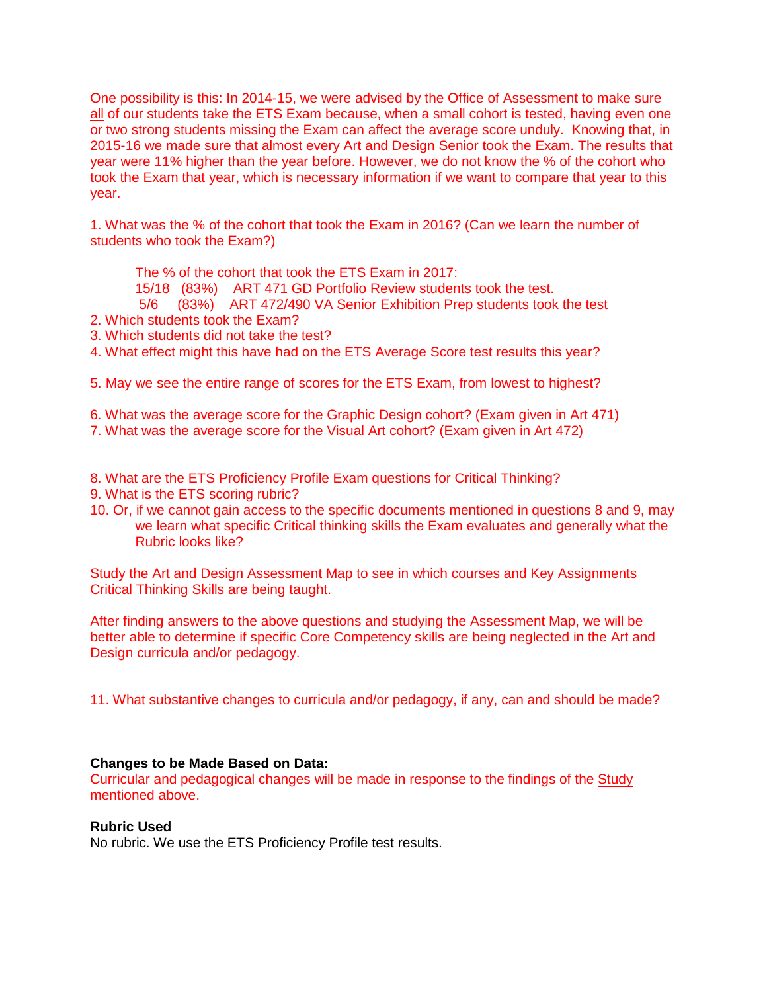One possibility is this: In 2014-15, we were advised by the Office of Assessment to make sure all of our students take the ETS Exam because, when a small cohort is tested, having even one or two strong students missing the Exam can affect the average score unduly. Knowing that, in 2015-16 we made sure that almost every Art and Design Senior took the Exam. The results that year were 11% higher than the year before. However, we do not know the % of the cohort who took the Exam that year, which is necessary information if we want to compare that year to this year.

1. What was the % of the cohort that took the Exam in 2016? (Can we learn the number of students who took the Exam?)

The % of the cohort that took the ETS Exam in 2017:

15/18 (83%) ART 471 GD Portfolio Review students took the test.

5/6 (83%) ART 472/490 VA Senior Exhibition Prep students took the test

- 2. Which students took the Exam?
- 3. Which students did not take the test?
- 4. What effect might this have had on the ETS Average Score test results this year?

5. May we see the entire range of scores for the ETS Exam, from lowest to highest?

6. What was the average score for the Graphic Design cohort? (Exam given in Art 471)

7. What was the average score for the Visual Art cohort? (Exam given in Art 472)

8. What are the ETS Proficiency Profile Exam questions for Critical Thinking?

- 9. What is the ETS scoring rubric?
- 10. Or, if we cannot gain access to the specific documents mentioned in questions 8 and 9, may we learn what specific Critical thinking skills the Exam evaluates and generally what the Rubric looks like?

Study the Art and Design Assessment Map to see in which courses and Key Assignments Critical Thinking Skills are being taught.

After finding answers to the above questions and studying the Assessment Map, we will be better able to determine if specific Core Competency skills are being neglected in the Art and Design curricula and/or pedagogy.

11. What substantive changes to curricula and/or pedagogy, if any, can and should be made?

### **Changes to be Made Based on Data:**

Curricular and pedagogical changes will be made in response to the findings of the Study mentioned above.

### **Rubric Used**

No rubric. We use the ETS Proficiency Profile test results.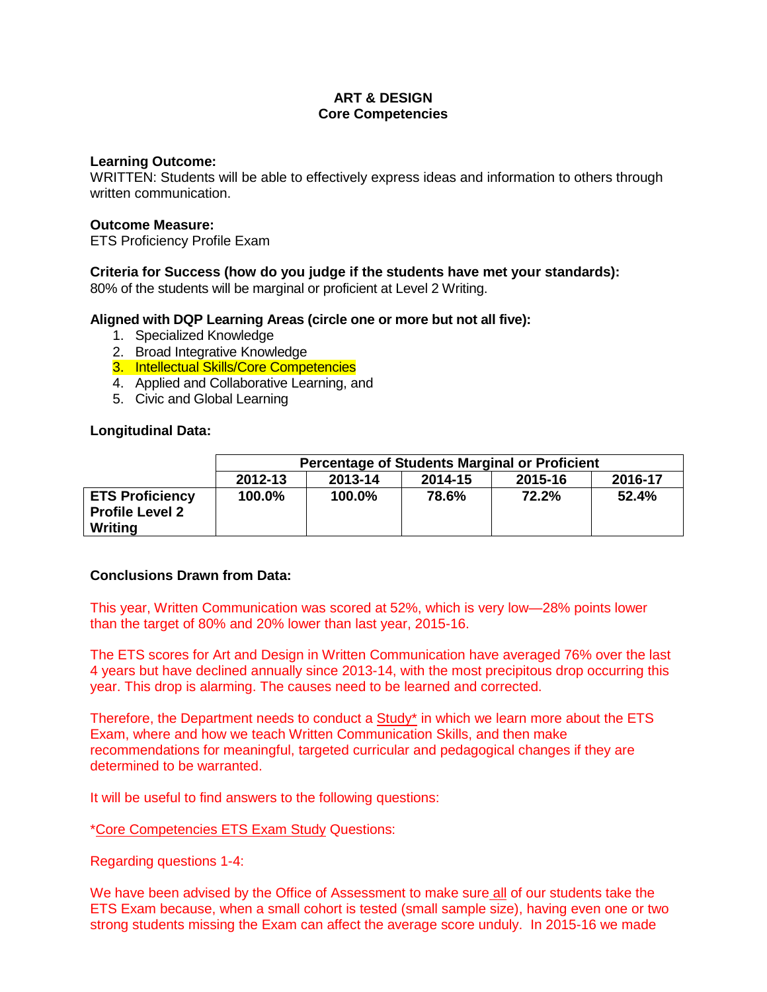# **ART & DESIGN Core Competencies**

### **Learning Outcome:**

WRITTEN: Students will be able to effectively express ideas and information to others through written communication.

### **Outcome Measure:**

ETS Proficiency Profile Exam

# **Criteria for Success (how do you judge if the students have met your standards):**

80% of the students will be marginal or proficient at Level 2 Writing.

### **Aligned with DQP Learning Areas (circle one or more but not all five):**

- 1. Specialized Knowledge
- 2. Broad Integrative Knowledge
- 3. Intellectual Skills/Core Competencies
- 4. Applied and Collaborative Learning, and
- 5. Civic and Global Learning

### **Longitudinal Data:**

|                                                             | <b>Percentage of Students Marginal or Proficient</b> |         |         |                    |       |  |  |  |  |
|-------------------------------------------------------------|------------------------------------------------------|---------|---------|--------------------|-------|--|--|--|--|
|                                                             | 2012-13                                              | 2013-14 | 2014-15 | 2016-17<br>2015-16 |       |  |  |  |  |
| <b>ETS Proficiency</b><br><b>Profile Level 2</b><br>Writing | 100.0%                                               | 100.0%  | 78.6%   | 72.2%              | 52.4% |  |  |  |  |

### **Conclusions Drawn from Data:**

This year, Written Communication was scored at 52%, which is very low—28% points lower than the target of 80% and 20% lower than last year, 2015-16.

The ETS scores for Art and Design in Written Communication have averaged 76% over the last 4 years but have declined annually since 2013-14, with the most precipitous drop occurring this year. This drop is alarming. The causes need to be learned and corrected.

Therefore, the Department needs to conduct a Study\* in which we learn more about the ETS Exam, where and how we teach Written Communication Skills, and then make recommendations for meaningful, targeted curricular and pedagogical changes if they are determined to be warranted.

It will be useful to find answers to the following questions:

### \*Core Competencies ETS Exam Study Questions:

Regarding questions 1-4:

We have been advised by the Office of Assessment to make sure all of our students take the ETS Exam because, when a small cohort is tested (small sample size), having even one or two strong students missing the Exam can affect the average score unduly. In 2015-16 we made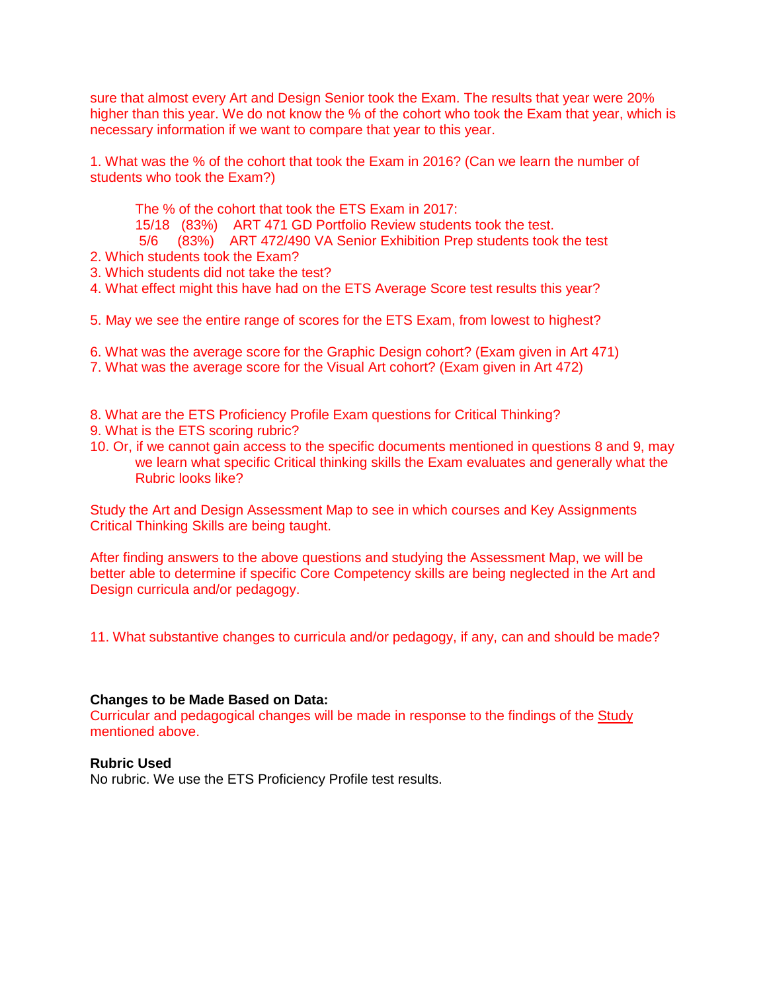sure that almost every Art and Design Senior took the Exam. The results that year were 20% higher than this year. We do not know the % of the cohort who took the Exam that year, which is necessary information if we want to compare that year to this year.

1. What was the % of the cohort that took the Exam in 2016? (Can we learn the number of students who took the Exam?)

The % of the cohort that took the ETS Exam in 2017:

15/18 (83%) ART 471 GD Portfolio Review students took the test.

5/6 (83%) ART 472/490 VA Senior Exhibition Prep students took the test

2. Which students took the Exam?

3. Which students did not take the test?

- 4. What effect might this have had on the ETS Average Score test results this year?
- 5. May we see the entire range of scores for the ETS Exam, from lowest to highest?
- 6. What was the average score for the Graphic Design cohort? (Exam given in Art 471)
- 7. What was the average score for the Visual Art cohort? (Exam given in Art 472)
- 8. What are the ETS Proficiency Profile Exam questions for Critical Thinking? 9. What is the ETS scoring rubric?
- 10. Or, if we cannot gain access to the specific documents mentioned in questions 8 and 9, may we learn what specific Critical thinking skills the Exam evaluates and generally what the Rubric looks like?

Study the Art and Design Assessment Map to see in which courses and Key Assignments Critical Thinking Skills are being taught.

After finding answers to the above questions and studying the Assessment Map, we will be better able to determine if specific Core Competency skills are being neglected in the Art and Design curricula and/or pedagogy.

11. What substantive changes to curricula and/or pedagogy, if any, can and should be made?

### **Changes to be Made Based on Data:**

Curricular and pedagogical changes will be made in response to the findings of the Study mentioned above.

## **Rubric Used**

No rubric. We use the ETS Proficiency Profile test results.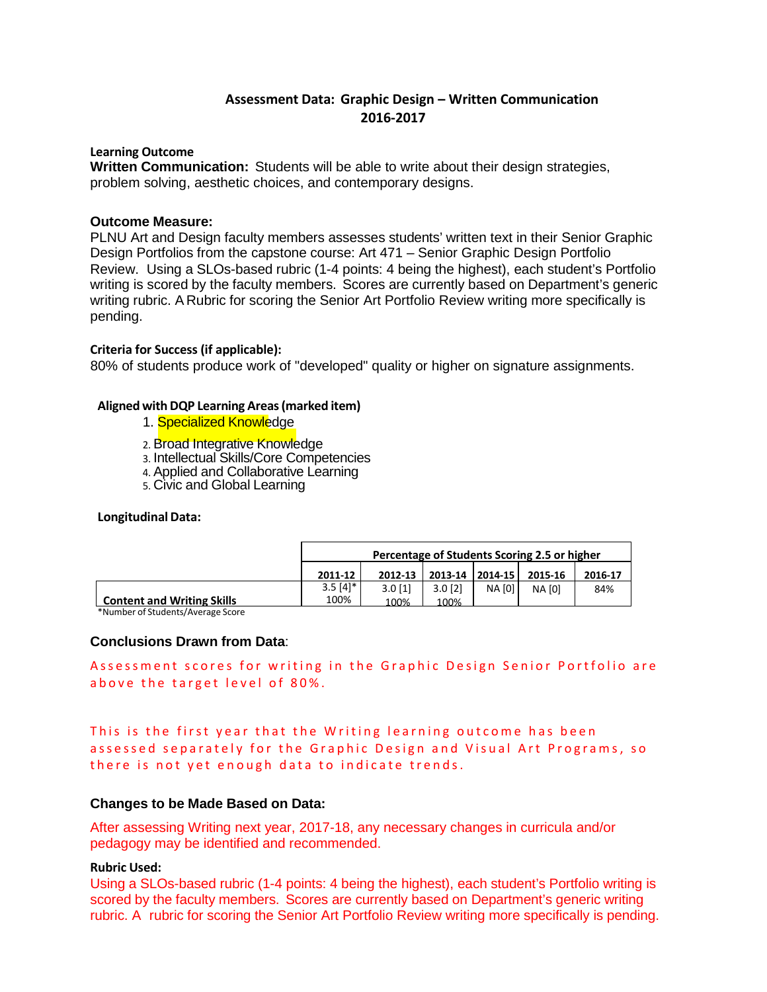# **Assessment Data: Graphic Design – Written Communication 2016-2017**

### **Learning Outcome**

 **Written Communication:** Students will be able to write about their design strategies, problem solving, aesthetic choices, and contemporary designs.

### **Outcome Measure:**

PLNU Art and Design faculty members assesses students' written text in their Senior Graphic Design Portfolios from the capstone course: Art 471 – Senior Graphic Design Portfolio Review. Using a SLOs-based rubric (1-4 points: 4 being the highest), each student's Portfolio writing is scored by the faculty members. Scores are currently based on Department's generic writing rubric. A Rubric for scoring the Senior Art Portfolio Review writing more specifically is pending.

### **Criteria for Success (if applicable):**

80% of students produce work of "developed" quality or higher on signature assignments.

### **Aligned withDQP Learning Areas(marked item)**

- 1. **Specialized Knowledge**
- 2. Broad Integrative Knowledge
- 3. Intellectual Skills/Core Competencies
- 4. Applied and Collaborative Learning
- 5. Civic and Global Learning

#### **Longitudinal Data:**

|                                   | Percentage of Students Scoring 2.5 or higher |           |           |               |         |         |
|-----------------------------------|----------------------------------------------|-----------|-----------|---------------|---------|---------|
|                                   | 2011-12                                      | 2012-13   | 2013-14   | $ 2014-15 $   | 2015-16 | 2016-17 |
|                                   | $3.5 \; \lceil 4 \rceil^*$                   | $3.0$ [1] | $3.0$ [2] | <b>NA [0]</b> | NA [0]  | 84%     |
| <b>Content and Writing Skills</b> | 100%                                         | 100%      | 100%      |               |         |         |

**Content and Writing Skills** \*Number of Students/Average Score

### **Conclusions Drawn from Data**:

Assessment scores for writing in the Graphic Design Senior Portfolio are above the target level of 80%.

This is the first year that the Writing learning outcome has been assessed separately for the Graphic Design and Visual Art Programs, so there is not yet enough data to indicate trends.

### **Changes to be Made Based on Data:**

After assessing Writing next year, 2017-18, any necessary changes in curricula and/or pedagogy may be identified and recommended.

### **Rubric Used:**

Using a SLOs-based rubric (1-4 points: 4 being the highest), each student's Portfolio writing is scored by the faculty members. Scores are currently based on Department's generic writing rubric. A rubric for scoring the Senior Art Portfolio Review writing more specifically is pending.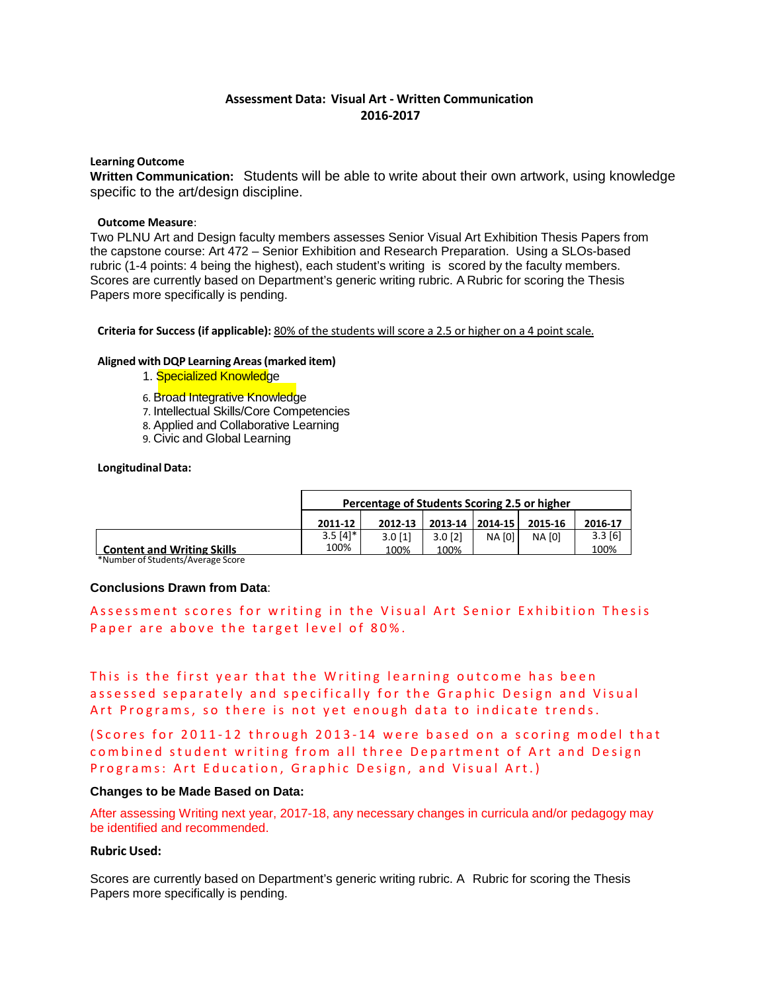### **Assessment Data: Visual Art - Written Communication 2016-2017**

#### **Learning Outcome**

**Written Communication:** Students will be able to write about their own artwork, using knowledge specific to the art/design discipline.

#### **Outcome Measure**:

Two PLNU Art and Design faculty members assesses Senior Visual Art Exhibition Thesis Papers from the capstone course: Art 472 – Senior Exhibition and Research Preparation. Using a SLOs-based rubric (1-4 points: 4 being the highest), each student's writing is scored by the faculty members. Scores are currently based on Department's generic writing rubric. A Rubric for scoring the Thesis Papers more specifically is pending.

**Criteria for Success (if applicable):** 80% of the students will score a 2.5 or higher on a 4 point scale.

#### **Aligned with DQP Learning Areas(marked item)**

- 1. Specialized Knowledge
- 6. Broad Integrative Knowledge
- 7. Intellectual Skills/Core Competencies
- 8. Applied and Collaborative Learning
- 9. Civic and Global Learning

#### **Longitudinal Data:**

|                                   | Percentage of Students Scoring 2.5 or higher |           |           |               |         |           |
|-----------------------------------|----------------------------------------------|-----------|-----------|---------------|---------|-----------|
|                                   | 2011-12                                      | 2012-13   | 2013-14   | $ 2014-15 $   | 2015-16 | 2016-17   |
|                                   | $3.5 \; \text{[4]}$ *                        | $3.0$ [1] | $3.0$ [2] | <b>NA [0]</b> | NA [0]  | $3.3$ [6] |
| <b>Content and Writing Skills</b> | 100%                                         | 100%      | 100%      |               |         | 100%      |
| *Number of Students/Average Score |                                              |           |           |               |         |           |

#### **Conclusions Drawn from Data**:

Assessment scores for writing in the Visual Art Senior Exhibition Thesis Paper are above the target level of 80%.

This is the first year that the Writing learning outcome has been assessed separately and specifically for the Graphic Design and Visual Art Programs, so there is not yet enough data to indicate trends.

(Scores for 2011-12 through 2013-14 were based on a scoring model that combined student writing from all three Department of Art and Design Programs: Art Education, Graphic Design, and Visual Art.)

#### **Changes to be Made Based on Data:**

After assessing Writing next year, 2017-18, any necessary changes in curricula and/or pedagogy may be identified and recommended.

#### **Rubric Used:**

Scores are currently based on Department's generic writing rubric. A Rubric for scoring the Thesis Papers more specifically is pending.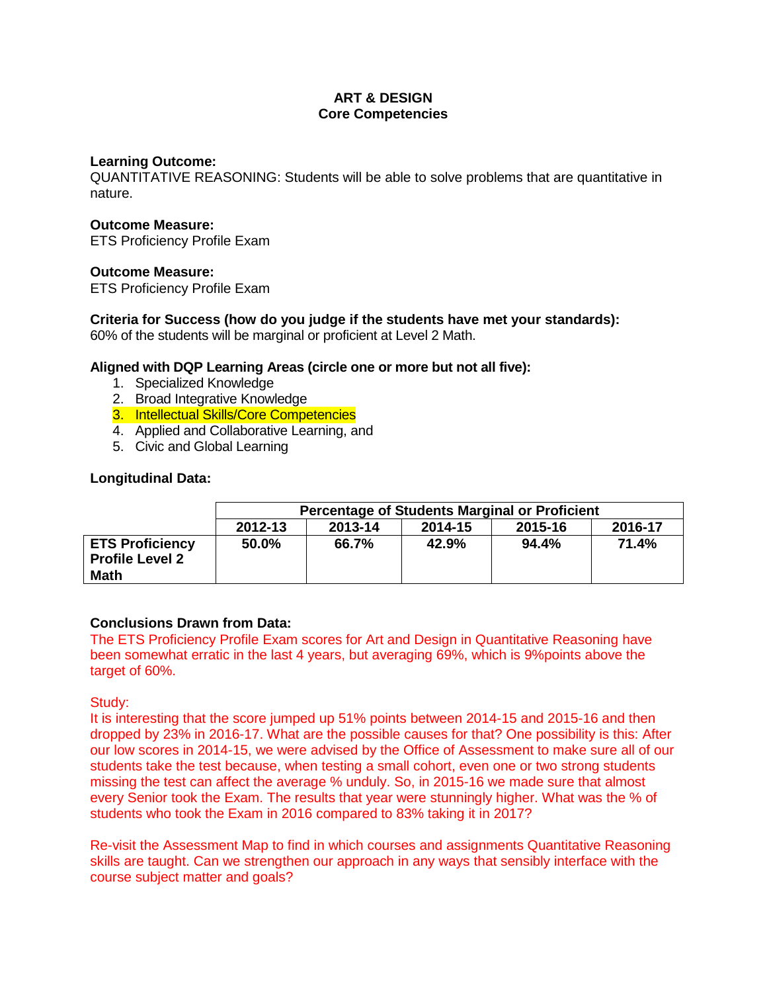# **ART & DESIGN Core Competencies**

## **Learning Outcome:**

QUANTITATIVE REASONING: Students will be able to solve problems that are quantitative in nature.

## **Outcome Measure:**

ETS Proficiency Profile Exam

# **Outcome Measure:**

ETS Proficiency Profile Exam

# **Criteria for Success (how do you judge if the students have met your standards):**

60% of the students will be marginal or proficient at Level 2 Math.

# **Aligned with DQP Learning Areas (circle one or more but not all five):**

- 1. Specialized Knowledge
- 2. Broad Integrative Knowledge
- 3. Intellectual Skills/Core Competencies
- 4. Applied and Collaborative Learning, and
- 5. Civic and Global Learning

# **Longitudinal Data:**

|                                                                 | <b>Percentage of Students Marginal or Proficient</b> |         |                               |       |       |  |  |  |
|-----------------------------------------------------------------|------------------------------------------------------|---------|-------------------------------|-------|-------|--|--|--|
|                                                                 | 2012-13                                              | 2013-14 | 2016-17<br>2014-15<br>2015-16 |       |       |  |  |  |
| <b>ETS Proficiency</b><br><b>Profile Level 2</b><br><b>Math</b> | 50.0%                                                | 66.7%   | 42.9%                         | 94.4% | 71.4% |  |  |  |

### **Conclusions Drawn from Data:**

The ETS Proficiency Profile Exam scores for Art and Design in Quantitative Reasoning have been somewhat erratic in the last 4 years, but averaging 69%, which is 9%points above the target of 60%.

### Study:

It is interesting that the score jumped up 51% points between 2014-15 and 2015-16 and then dropped by 23% in 2016-17. What are the possible causes for that? One possibility is this: After our low scores in 2014-15, we were advised by the Office of Assessment to make sure all of our students take the test because, when testing a small cohort, even one or two strong students missing the test can affect the average % unduly. So, in 2015-16 we made sure that almost every Senior took the Exam. The results that year were stunningly higher. What was the % of students who took the Exam in 2016 compared to 83% taking it in 2017?

Re-visit the Assessment Map to find in which courses and assignments Quantitative Reasoning skills are taught. Can we strengthen our approach in any ways that sensibly interface with the course subject matter and goals?